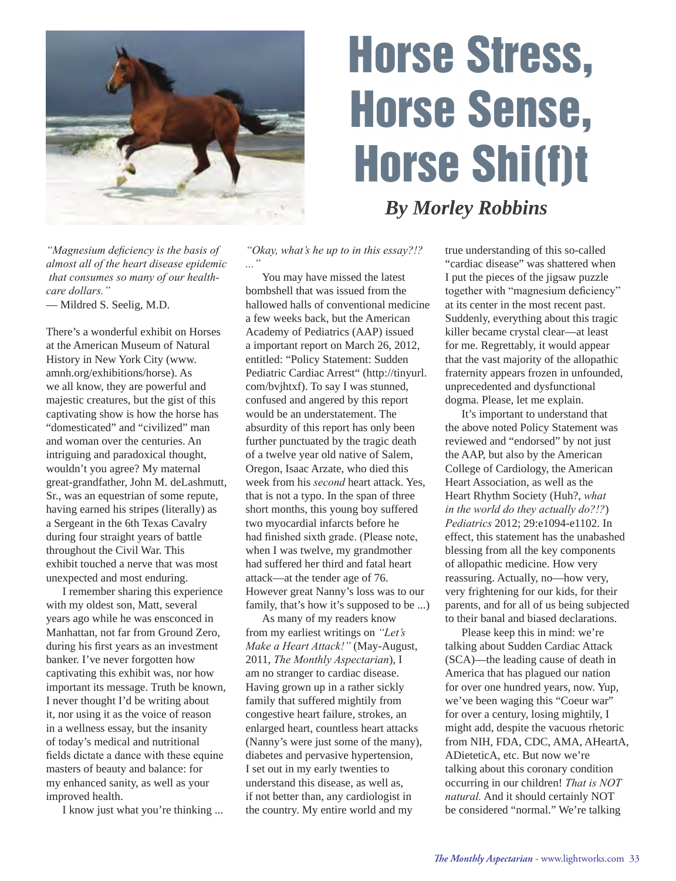

# Horse Stress, Horse Sense, Horse Shi(f)t

## *By Morley Robbins*

*"Magnesium deficiency is the basis of almost all of the heart disease epidemic that consumes so many of our healthcare dollars."* — Mildred S. Seelig, M.D.

There's a wonderful exhibit on Horses at the American Museum of Natural History in New York City (www. amnh.org/exhibitions/horse). As we all know, they are powerful and majestic creatures, but the gist of this captivating show is how the horse has "domesticated" and "civilized" man and woman over the centuries. An intriguing and paradoxical thought, wouldn't you agree? My maternal great-grandfather, John M. deLashmutt, Sr., was an equestrian of some repute, having earned his stripes (literally) as a Sergeant in the 6th Texas Cavalry during four straight years of battle throughout the Civil War. This exhibit touched a nerve that was most unexpected and most enduring.

 I remember sharing this experience with my oldest son, Matt, several years ago while he was ensconced in Manhattan, not far from Ground Zero, during his first years as an investment banker. I've never forgotten how captivating this exhibit was, nor how important its message. Truth be known, I never thought I'd be writing about it, nor using it as the voice of reason in a wellness essay, but the insanity of today's medical and nutritional fields dictate a dance with these equine masters of beauty and balance: for my enhanced sanity, as well as your improved health.

I know just what you're thinking ...

*"Okay, what's he up to in this essay?!? ..."*

 You may have missed the latest bombshell that was issued from the hallowed halls of conventional medicine a few weeks back, but the American Academy of Pediatrics (AAP) issued a important report on March 26, 2012, entitled: "Policy Statement: Sudden Pediatric Cardiac Arrest" (http://tinyurl. com/bvjhtxf). To say I was stunned, confused and angered by this report would be an understatement. The absurdity of this report has only been further punctuated by the tragic death of a twelve year old native of Salem, Oregon, Isaac Arzate, who died this week from his *second* heart attack. Yes, that is not a typo. In the span of three short months, this young boy suffered two myocardial infarcts before he had finished sixth grade. (Please note, when I was twelve, my grandmother had suffered her third and fatal heart attack—at the tender age of 76. However great Nanny's loss was to our family, that's how it's supposed to be ...)

 As many of my readers know from my earliest writings on *"Let's Make a Heart Attack!"* (May-August, 2011, *The Monthly Aspectarian*), I am no stranger to cardiac disease. Having grown up in a rather sickly family that suffered mightily from congestive heart failure, strokes, an enlarged heart, countless heart attacks (Nanny's were just some of the many), diabetes and pervasive hypertension, I set out in my early twenties to understand this disease, as well as, if not better than, any cardiologist in the country. My entire world and my

true understanding of this so-called "cardiac disease" was shattered when I put the pieces of the jigsaw puzzle together with "magnesium deficiency" at its center in the most recent past. Suddenly, everything about this tragic killer became crystal clear—at least for me. Regrettably, it would appear that the vast majority of the allopathic fraternity appears frozen in unfounded, unprecedented and dysfunctional dogma. Please, let me explain.

 It's important to understand that the above noted Policy Statement was reviewed and "endorsed" by not just the AAP, but also by the American College of Cardiology, the American Heart Association, as well as the Heart Rhythm Society (Huh?, *what in the world do they actually do?!?*) *Pediatrics* 2012; 29:e1094-e1102. In effect, this statement has the unabashed blessing from all the key components of allopathic medicine. How very reassuring. Actually, no—how very, very frightening for our kids, for their parents, and for all of us being subjected to their banal and biased declarations.

 Please keep this in mind: we're talking about Sudden Cardiac Attack (SCA)—the leading cause of death in America that has plagued our nation for over one hundred years, now. Yup, we've been waging this "Coeur war" for over a century, losing mightily, I might add, despite the vacuous rhetoric from NIH, FDA, CDC, AMA, AHeartA, ADieteticA, etc. But now we're talking about this coronary condition occurring in our children! *That is NOT natural.* And it should certainly NOT be considered "normal." We're talking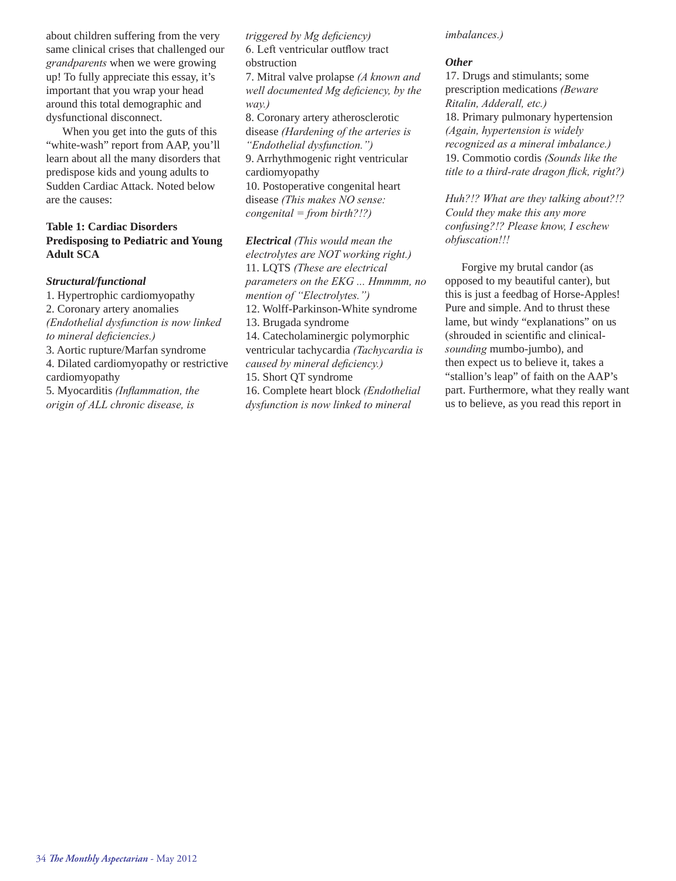about children suffering from the very same clinical crises that challenged our *grandparents* when we were growing up! To fully appreciate this essay, it's important that you wrap your head around this total demographic and dysfunctional disconnect.

When you get into the guts of this "white-wash" report from AAP, you'll learn about all the many disorders that predispose kids and young adults to Sudden Cardiac Attack. Noted below are the causes:

#### **Table 1: Cardiac Disorders Predisposing to Pediatric and Young Adult SCA**

#### *Structural/functional*

1. Hypertrophic cardiomyopathy 2. Coronary artery anomalies *(Endothelial dysfunction is now linked to mineral deficiencies.)* 3. Aortic rupture/Marfan syndrome

4. Dilated cardiomyopathy or restrictive

cardiomyopathy

5. Myocarditis *(Inflammation, the origin of ALL chronic disease, is* 

*triggered by Mg deficiency)* 6. Left ventricular outflow tract obstruction

7. Mitral valve prolapse *(A known and well documented Mg deficiency, by the way.)*

8. Coronary artery atherosclerotic disease *(Hardening of the arteries is "Endothelial dysfunction.")*

9. Arrhythmogenic right ventricular cardiomyopathy

10. Postoperative congenital heart disease *(This makes NO sense: congenital = from birth?!?)*

*Electrical (This would mean the electrolytes are NOT working right.)* 11. LQTS *(These are electrical parameters on the EKG ... Hmmmm, no mention of "Electrolytes.")* 12. Wolff-Parkinson-White syndrome 13. Brugada syndrome 14. Catecholaminergic polymorphic ventricular tachycardia *(Tachycardia is caused by mineral deficiency.)* 15. Short QT syndrome

16. Complete heart block *(Endothelial dysfunction is now linked to mineral* 

*imbalances.)*

#### *Other*

17. Drugs and stimulants; some prescription medications *(Beware Ritalin, Adderall, etc.)* 18. Primary pulmonary hypertension *(Again, hypertension is widely recognized as a mineral imbalance.)* 19. Commotio cordis *(Sounds like the title to a third-rate dragon flick, right?)*

*Huh?!? What are they talking about?!? Could they make this any more confusing?!? Please know, I eschew obfuscation!!!*

Forgive my brutal candor (as opposed to my beautiful canter), but this is just a feedbag of Horse-Apples! Pure and simple. And to thrust these lame, but windy "explanations" on us (shrouded in scientific and clinical*sounding* mumbo-jumbo), and then expect us to believe it, takes a "stallion's leap" of faith on the AAP's part. Furthermore, what they really want us to believe, as you read this report in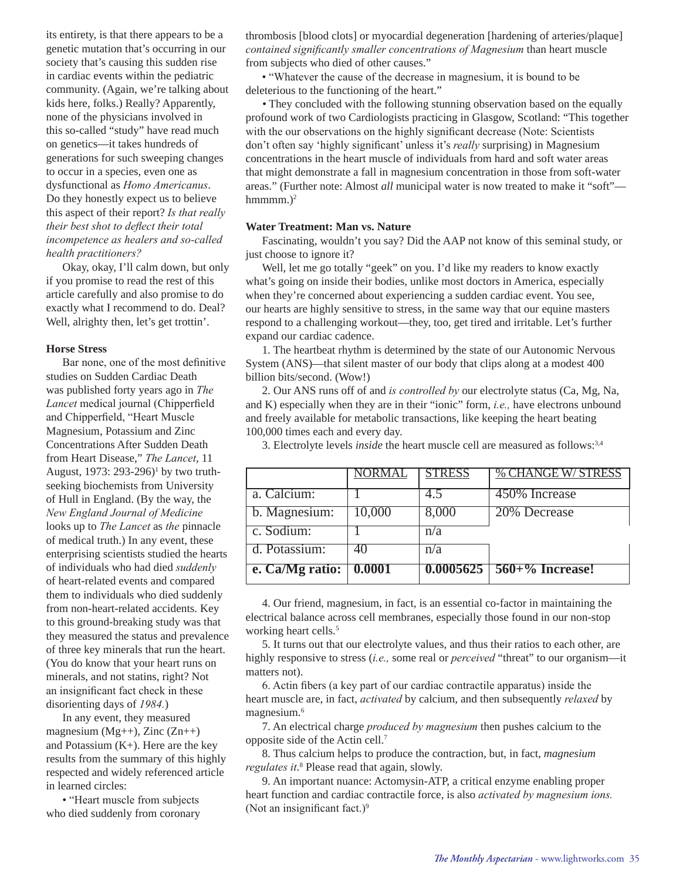its entirety, is that there appears to be a genetic mutation that's occurring in our society that's causing this sudden rise in cardiac events within the pediatric community. (Again, we're talking about kids here, folks.) Really? Apparently, none of the physicians involved in this so-called "study" have read much on genetics—it takes hundreds of generations for such sweeping changes to occur in a species, even one as dysfunctional as *Homo Americanus*. Do they honestly expect us to believe this aspect of their report? *Is that really their best shot to deflect their total incompetence as healers and so-called health practitioners?*

Okay, okay, I'll calm down, but only if you promise to read the rest of this article carefully and also promise to do exactly what I recommend to do. Deal? Well, alrighty then, let's get trottin'.

#### **Horse Stress**

Bar none, one of the most definitive studies on Sudden Cardiac Death was published forty years ago in *The Lancet* medical journal (Chipperfield and Chipperfield, "Heart Muscle Magnesium, Potassium and Zinc Concentrations After Sudden Death from Heart Disease," *The Lancet*, 11 August, 1973: 293-296)<sup>1</sup> by two truthseeking biochemists from University of Hull in England. (By the way, the *New England Journal of Medicine* looks up to *The Lancet* as *the* pinnacle of medical truth.) In any event, these enterprising scientists studied the hearts of individuals who had died *suddenly* of heart-related events and compared them to individuals who died suddenly from non-heart-related accidents. Key to this ground-breaking study was that they measured the status and prevalence of three key minerals that run the heart. (You do know that your heart runs on minerals, and not statins, right? Not an insignificant fact check in these disorienting days of *1984.*)

In any event, they measured magnesium ( $Mg++$ ), Zinc ( $Zn++$ ) and Potassium  $(K+)$ . Here are the key results from the summary of this highly respected and widely referenced article in learned circles:

• "Heart muscle from subjects who died suddenly from coronary thrombosis [blood clots] or myocardial degeneration [hardening of arteries/plaque] *contained significantly smaller concentrations of Magnesium* than heart muscle from subjects who died of other causes."

• "Whatever the cause of the decrease in magnesium, it is bound to be deleterious to the functioning of the heart."

*•* They concluded with the following stunning observation based on the equally profound work of two Cardiologists practicing in Glasgow, Scotland: "This together with the our observations on the highly significant decrease (Note: Scientists don't often say 'highly significant' unless it's *really* surprising) in Magnesium concentrations in the heart muscle of individuals from hard and soft water areas that might demonstrate a fall in magnesium concentration in those from soft-water areas." (Further note: Almost *all* municipal water is now treated to make it "soft" hmmmm. $)^2$ 

#### **Water Treatment: Man vs. Nature**

Fascinating, wouldn't you say? Did the AAP not know of this seminal study, or just choose to ignore it?

Well, let me go totally "geek" on you. I'd like my readers to know exactly what's going on inside their bodies, unlike most doctors in America, especially when they're concerned about experiencing a sudden cardiac event. You see, our hearts are highly sensitive to stress, in the same way that our equine masters respond to a challenging workout—they, too, get tired and irritable. Let's further expand our cardiac cadence.

1. The heartbeat rhythm is determined by the state of our Autonomic Nervous System (ANS)—that silent master of our body that clips along at a modest 400 billion bits/second. (Wow!)

2. Our ANS runs off of and *is controlled by* our electrolyte status (Ca, Mg, Na, and K) especially when they are in their "ionic" form, *i.e.,* have electrons unbound and freely available for metabolic transactions, like keeping the heart beating 100,000 times each and every day.

3. Electrolyte levels *inside* the heart muscle cell are measured as follows:3,4

|                 | NORMAL | <b>STRESS</b> | % CHANGE W/ STRESS                       |
|-----------------|--------|---------------|------------------------------------------|
| a. Calcium:     |        | 4.5           | 450% Increase                            |
| b. Magnesium:   | 10,000 | 8,000         | 20% Decrease                             |
| c. Sodium:      |        | n/a           |                                          |
| d. Potassium:   | 40     | n/a           |                                          |
| e. Ca/Mg ratio: | 0.0001 |               | $\overline{0.0005625}$   560+% Increase! |

4. Our friend, magnesium, in fact, is an essential co-factor in maintaining the electrical balance across cell membranes, especially those found in our non-stop working heart cells.<sup>5</sup>

5. It turns out that our electrolyte values, and thus their ratios to each other, are highly responsive to stress (*i.e.,* some real or *perceived* "threat" to our organism—it matters not).

6. Actin fibers (a key part of our cardiac contractile apparatus) inside the heart muscle are, in fact, *activated* by calcium, and then subsequently *relaxed* by magnesium.6

7. An electrical charge *produced by magnesium* then pushes calcium to the opposite side of the Actin cell.7

8. Thus calcium helps to produce the contraction, but, in fact, *magnesium*  regulates it.<sup>8</sup> Please read that again, slowly.

9. An important nuance: Actomysin-ATP, a critical enzyme enabling proper heart function and cardiac contractile force, is also *activated by magnesium ions.* (Not an insignificant fact.) $9$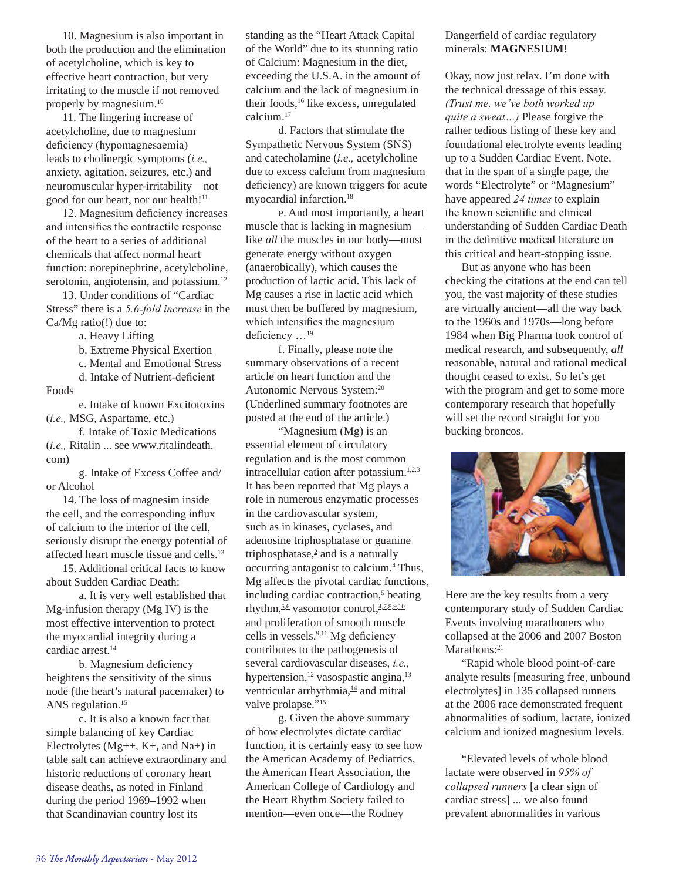10. Magnesium is also important in both the production and the elimination of acetylcholine, which is key to effective heart contraction, but very irritating to the muscle if not removed properly by magnesium.10

11. The lingering increase of acetylcholine, due to magnesium deficiency (hypomagnesaemia) leads to cholinergic symptoms (*i.e.,* anxiety, agitation, seizures, etc.) and neuromuscular hyper-irritability—not good for our heart, nor our health!<sup>11</sup>

12. Magnesium deficiency increases and intensifies the contractile response of the heart to a series of additional chemicals that affect normal heart function: norepinephrine, acetylcholine, serotonin, angiotensin, and potassium.<sup>12</sup>

13. Under conditions of "Cardiac Stress" there is a *5.6-fold increase* in the Ca/Mg ratio(!) due to:

a. Heavy Lifting

b. Extreme Physical Exertion

c. Mental and Emotional Stress

d. Intake of Nutrient-deficient Foods

 e. Intake of known Excitotoxins (*i.e.,* MSG, Aspartame, etc.)

 f. Intake of Toxic Medications (*i.e.,* Ritalin ... see www.ritalindeath. com)

 g. Intake of Excess Coffee and/ or Alcohol

14. The loss of magnesim inside the cell, and the corresponding influx of calcium to the interior of the cell, seriously disrupt the energy potential of affected heart muscle tissue and cells.13

15. Additional critical facts to know about Sudden Cardiac Death:

 a. It is very well established that Mg-infusion therapy (Mg IV) is the most effective intervention to protect the myocardial integrity during a cardiac arrest.<sup>14</sup>

b. Magnesium deficiency heightens the sensitivity of the sinus node (the heart's natural pacemaker) to ANS regulation.<sup>15</sup>

 c. It is also a known fact that simple balancing of key Cardiac Electrolytes (Mg++, K+, and Na+) in table salt can achieve extraordinary and historic reductions of coronary heart disease deaths, as noted in Finland during the period 1969–1992 when that Scandinavian country lost its

standing as the "Heart Attack Capital of the World" due to its stunning ratio of Calcium: Magnesium in the diet, exceeding the U.S.A. in the amount of calcium and the lack of magnesium in their foods,<sup>16</sup> like excess, unregulated calcium.17

 d. Factors that stimulate the Sympathetic Nervous System (SNS) and catecholamine (*i.e.,* acetylcholine due to excess calcium from magnesium deficiency) are known triggers for acute myocardial infarction.18

 e. And most importantly, a heart muscle that is lacking in magnesium like *all* the muscles in our body—must generate energy without oxygen (anaerobically), which causes the production of lactic acid. This lack of Mg causes a rise in lactic acid which must then be buffered by magnesium, which intensifies the magnesium deficiency …<sup>19</sup>

 f. Finally, please note the summary observations of a recent article on heart function and the Autonomic Nervous System:20 (Underlined summary footnotes are posted at the end of the article.)

 "Magnesium (Mg) is an essential element of circulatory regulation and is the most common intracellular cation after potassium. $1.2,3$ It has been reported that Mg plays a role in numerous enzymatic processes in the cardiovascular system, such as in kinases, cyclases, and adenosine triphosphatase or guanine triphosphatase, $2$  and is a naturally occurring antagonist to calcium.<sup>4</sup> Thus, Mg affects the pivotal cardiac functions, including cardiac contraction, $5$  beating rhythm,5,6 vasomotor control,4,7,8,9,10 and proliferation of smooth muscle cells in vessels. $2,11$  Mg deficiency contributes to the pathogenesis of several cardiovascular diseases, *i.e.,* hypertension,  $\frac{12}{2}$  vasospastic angina,  $\frac{13}{2}$ ventricular arrhythmia,<sup>14</sup> and mitral valve prolapse."<sup>15</sup>

 g. Given the above summary of how electrolytes dictate cardiac function, it is certainly easy to see how the American Academy of Pediatrics, the American Heart Association, the American College of Cardiology and the Heart Rhythm Society failed to mention—even once—the Rodney

#### Dangerfield of cardiac regulatory minerals: **MAGNESIUM!**

Okay, now just relax. I'm done with the technical dressage of this essay*. (Trust me, we've both worked up quite a sweat…)* Please forgive the rather tedious listing of these key and foundational electrolyte events leading up to a Sudden Cardiac Event. Note, that in the span of a single page, the words "Electrolyte" or "Magnesium" have appeared *24 times* to explain the known scientific and clinical understanding of Sudden Cardiac Death in the definitive medical literature on this critical and heart-stopping issue.

But as anyone who has been checking the citations at the end can tell you, the vast majority of these studies are virtually ancient—all the way back to the 1960s and 1970s—long before 1984 when Big Pharma took control of medical research, and subsequently, *all* reasonable, natural and rational medical thought ceased to exist. So let's get with the program and get to some more contemporary research that hopefully will set the record straight for you bucking broncos.



Here are the key results from a very contemporary study of Sudden Cardiac Events involving marathoners who collapsed at the 2006 and 2007 Boston Marathons:<sup>21</sup>

"Rapid whole blood point-of-care analyte results [measuring free, unbound electrolytes] in 135 collapsed runners at the 2006 race demonstrated frequent abnormalities of sodium, lactate, ionized calcium and ionized magnesium levels.

"Elevated levels of whole blood lactate were observed in *95% of collapsed runners* [a clear sign of cardiac stress] ... we also found prevalent abnormalities in various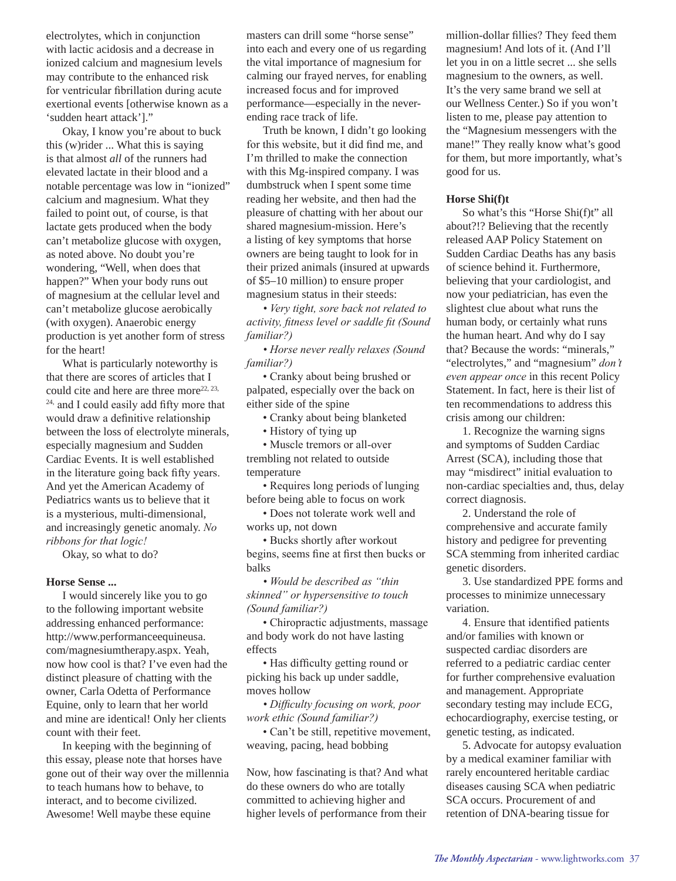electrolytes, which in conjunction with lactic acidosis and a decrease in ionized calcium and magnesium levels may contribute to the enhanced risk for ventricular fibrillation during acute exertional events [otherwise known as a 'sudden heart attack']."

Okay, I know you're about to buck this (w)rider ... What this is saying is that almost *all* of the runners had elevated lactate in their blood and a notable percentage was low in "ionized" calcium and magnesium. What they failed to point out, of course, is that lactate gets produced when the body can't metabolize glucose with oxygen, as noted above. No doubt you're wondering, "Well, when does that happen?" When your body runs out of magnesium at the cellular level and can't metabolize glucose aerobically (with oxygen). Anaerobic energy production is yet another form of stress for the heart!

What is particularly noteworthy is that there are scores of articles that I could cite and here are three more<sup>22, 23,</sup> 24, and I could easily add fifty more that would draw a definitive relationship between the loss of electrolyte minerals, especially magnesium and Sudden Cardiac Events. It is well established in the literature going back fifty years. And yet the American Academy of Pediatrics wants us to believe that it is a mysterious, multi-dimensional, and increasingly genetic anomaly. *No ribbons for that logic!*

Okay, so what to do?

#### **Horse Sense ...**

I would sincerely like you to go to the following important website addressing enhanced performance: http://www.performanceequineusa. com/magnesiumtherapy.aspx. Yeah, now how cool is that? I've even had the distinct pleasure of chatting with the owner, Carla Odetta of Performance Equine, only to learn that her world and mine are identical! Only her clients count with their feet.

In keeping with the beginning of this essay, please note that horses have gone out of their way over the millennia to teach humans how to behave, to interact, and to become civilized. Awesome! Well maybe these equine

masters can drill some "horse sense" into each and every one of us regarding the vital importance of magnesium for calming our frayed nerves, for enabling increased focus and for improved performance—especially in the neverending race track of life.

Truth be known, I didn't go looking for this website, but it did find me, and I'm thrilled to make the connection with this Mg-inspired company. I was dumbstruck when I spent some time reading her website, and then had the pleasure of chatting with her about our shared magnesium-mission. Here's a listing of key symptoms that horse owners are being taught to look for in their prized animals (insured at upwards of \$5–10 million) to ensure proper magnesium status in their steeds:

*• Very tight, sore back not related to activity, fitness level or saddle fit (Sound familiar?)*

*• Horse never really relaxes (Sound familiar?)*

• Cranky about being brushed or palpated, especially over the back on either side of the spine

• Cranky about being blanketed

• History of tying up

• Muscle tremors or all-over trembling not related to outside temperature

• Requires long periods of lunging before being able to focus on work

• Does not tolerate work well and works up, not down

• Bucks shortly after workout begins, seems fine at first then bucks or balks

*• Would be described as "thin skinned" or hypersensitive to touch (Sound familiar?)*

• Chiropractic adjustments, massage and body work do not have lasting effects

• Has difficulty getting round or picking his back up under saddle, moves hollow

*• Difficulty focusing on work, poor work ethic (Sound familiar?)*

• Can't be still, repetitive movement, weaving, pacing, head bobbing

Now, how fascinating is that? And what do these owners do who are totally committed to achieving higher and higher levels of performance from their

million-dollar fillies? They feed them magnesium! And lots of it. (And I'll let you in on a little secret ... she sells magnesium to the owners, as well. It's the very same brand we sell at our Wellness Center.) So if you won't listen to me, please pay attention to the "Magnesium messengers with the mane!" They really know what's good for them, but more importantly, what's good for us.

#### **Horse Shi(f)t**

So what's this "Horse Shi(f)t" all about?!? Believing that the recently released AAP Policy Statement on Sudden Cardiac Deaths has any basis of science behind it. Furthermore, believing that your cardiologist, and now your pediatrician, has even the slightest clue about what runs the human body, or certainly what runs the human heart. And why do I say that? Because the words: "minerals," "electrolytes," and "magnesium" *don't even appear once* in this recent Policy Statement. In fact, here is their list of ten recommendations to address this crisis among our children:

1. Recognize the warning signs and symptoms of Sudden Cardiac Arrest (SCA), including those that may "misdirect" initial evaluation to non-cardiac specialties and, thus, delay correct diagnosis.

2. Understand the role of comprehensive and accurate family history and pedigree for preventing SCA stemming from inherited cardiac genetic disorders.

3. Use standardized PPE forms and processes to minimize unnecessary variation.

4. Ensure that identified patients and/or families with known or suspected cardiac disorders are referred to a pediatric cardiac center for further comprehensive evaluation and management. Appropriate secondary testing may include ECG, echocardiography, exercise testing, or genetic testing, as indicated.

5. Advocate for autopsy evaluation by a medical examiner familiar with rarely encountered heritable cardiac diseases causing SCA when pediatric SCA occurs. Procurement of and retention of DNA-bearing tissue for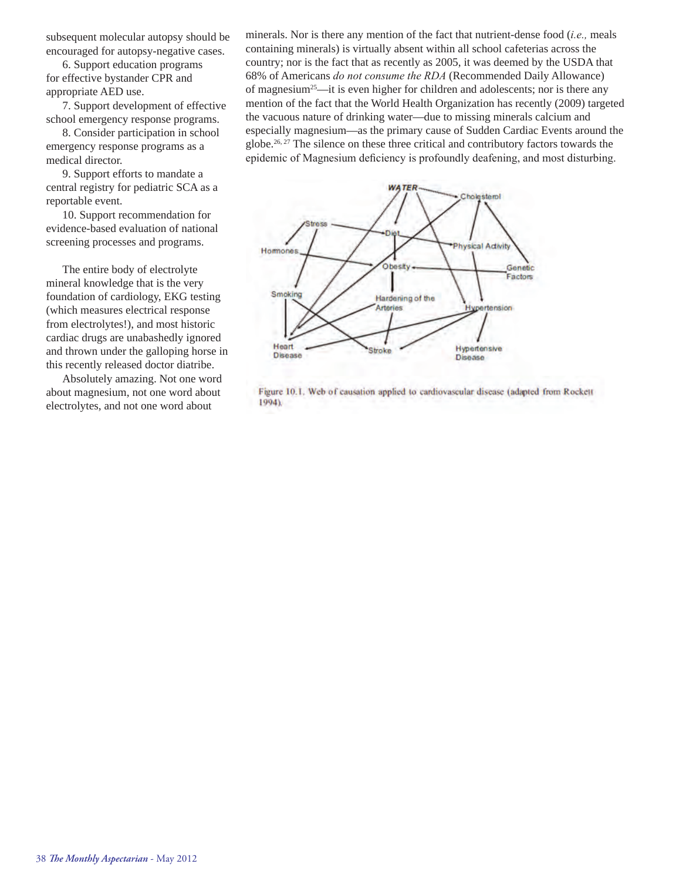subsequent molecular autopsy should be encouraged for autopsy-negative cases.

 6. Support education programs for effective bystander CPR and appropriate AED use.

 7. Support development of effective school emergency response programs.

 8. Consider participation in school emergency response programs as a medical director.

 9. Support efforts to mandate a central registry for pediatric SCA as a reportable event.

 10. Support recommendation for evidence-based evaluation of national screening processes and programs.

 The entire body of electrolyte mineral knowledge that is the very foundation of cardiology, EKG testing (which measures electrical response from electrolytes!), and most historic cardiac drugs are unabashedly ignored and thrown under the galloping horse in this recently released doctor diatribe.

 Absolutely amazing. Not one word about magnesium, not one word about electrolytes, and not one word about

minerals. Nor is there any mention of the fact that nutrient-dense food (*i.e.,* meals containing minerals) is virtually absent within all school cafeterias across the country; nor is the fact that as recently as 2005, it was deemed by the USDA that 68% of Americans *do not consume the RDA* (Recommended Daily Allowance) of magnesium25—it is even higher for children and adolescents; nor is there any mention of the fact that the World Health Organization has recently (2009) targeted the vacuous nature of drinking water—due to missing minerals calcium and especially magnesium—as the primary cause of Sudden Cardiac Events around the globe.<sup>26, 27</sup> The silence on these three critical and contributory factors towards the epidemic of Magnesium deficiency is profoundly deafening, and most disturbing.